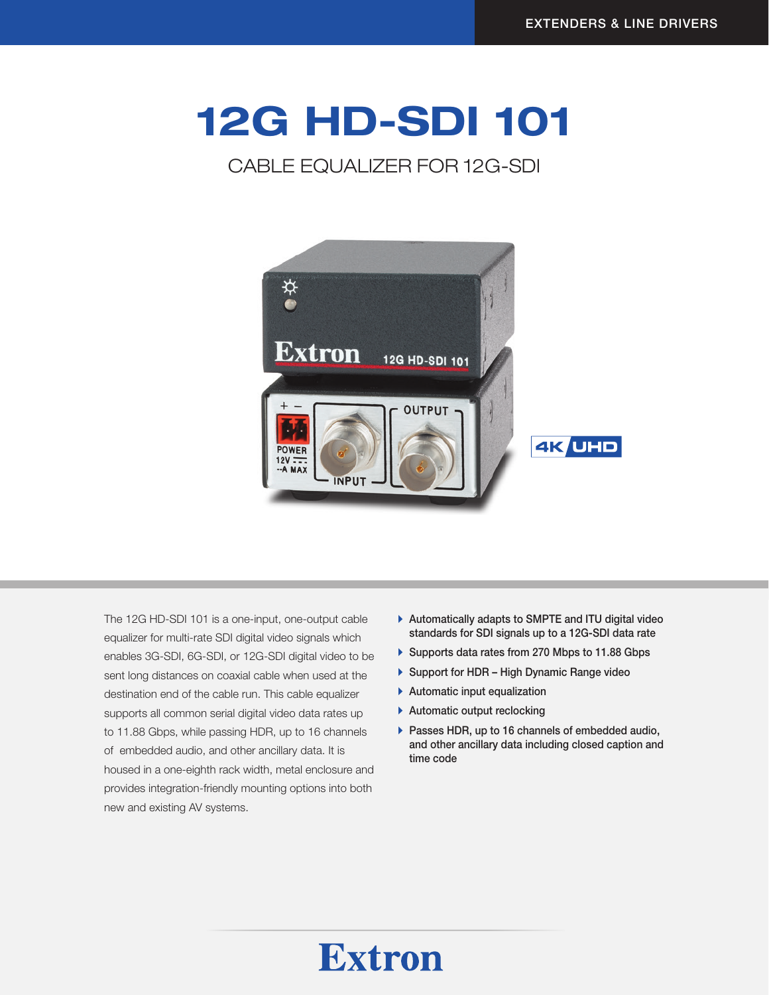# 12G HD-SDI 101

### CABLE EQUALIZER FOR 12G-SDI



The 12G HD-SDI 101 is a one-input, one-output cable equalizer for multi-rate SDI digital video signals which enables 3G-SDI, 6G-SDI, or 12G-SDI digital video to be sent long distances on coaxial cable when used at the destination end of the cable run. This cable equalizer supports all common serial digital video data rates up to 11.88 Gbps, while passing HDR, up to 16 channels of embedded audio, and other ancillary data. It is housed in a one-eighth rack width, metal enclosure and provides integration-friendly mounting options into both new and existing AV systems.

- $\blacktriangleright$  Automatically adapts to SMPTE and ITU digital video standards for SDI signals up to a 12G-SDI data rate
- ▶ Supports data rates from 270 Mbps to 11.88 Gbps
- ▶ Support for HDR High Dynamic Range video
- $\blacktriangleright$  Automatic input equalization
- $\blacktriangleright$  Automatic output reclocking
- $\blacktriangleright$  Passes HDR, up to 16 channels of embedded audio, and other ancillary data including closed caption and time code

## **Extron**